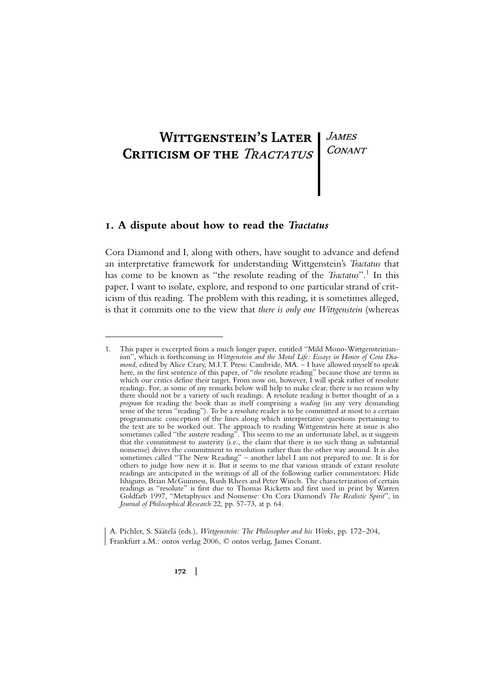# **Wittgenstein's Later** James **CRITICISM OF THE TRACTATUS** CONANT

#### **1. A dispute about how to read the** *Tractatus*

Cora Diamond and I, along with others, have sought to advance and defend an interpretative framework for understanding Wittgenstein's *Tractatus* that has come to be known as "the resolute reading of the *Tractatus*".<sup>1</sup> In this paper, I want to isolate, explore, and respond to one particular strand of criticism of this reading. The problem with this reading, it is sometimes alleged, is that it commits one to the view that *there is only one Wittgenstein* (whereas

A. Pichler, S. Säätelä (eds.), *Wittgenstein: The Philosopher and his Works*, pp. 172–204, Frankfurt a.M.: ontos verlag 2006, © ontos verlag, James Conant.

**172 |**

<sup>1.</sup> This paper is excerpted from a much longer paper, entitled "Mild Mono-Wittgensteinianism", which is forthcoming in *Wittgenstein and the Moral Life: Essays in Honor of Cora Dia*mond, edited by Alice Crary, M.I.T. Press: Cambride, MA. - I have allowed myself to speak here, in the first sentence of this paper, of "*the* resolute reading" because those are terms in which our critics define their target. From now on, however, I will speak rather of resolute reading*s*. For, as some of my remarks below will help to make clear, there is no reason why there should not be a variety of such readings. A resolute reading is better thought of as a *program* for reading the book than as itself comprising a *reading* (in any very demanding sense of the term "reading"). To be a resolute reader is to be committed at most to a certain programmatic conception of the lines along which interpretative questions pertaining to the text are to be worked out. The approach to reading Wittgenstein here at issue is also sometimes called "the austere reading". This seems to me an unfortunate label, as it suggests that the commitment to austerity (i.e., the claim that there is no such thing as substantial nonsense) drives the commitment to resolution rather than the other way around. It is also sometimes called "The New Reading" – another label I am not prepared to use. It is for others to judge how new it is. But it seems to me that various strands of extant resolute readings are anticipated in the writings of all of the following earlier commentators: Hide Ishiguro, Brian McGuinness, Rush Rhees and Peter Winch. The characterization of certain readings as "resolute" is first due to Thomas Ricketts and first used in print by Warren Goldfarb 1997, "Metaphysics and Nonsense: On Cora Diamond's *The Realistic Spirit*", in *Journal of Philosophical Research* 22, pp. 57-73, at p. 64.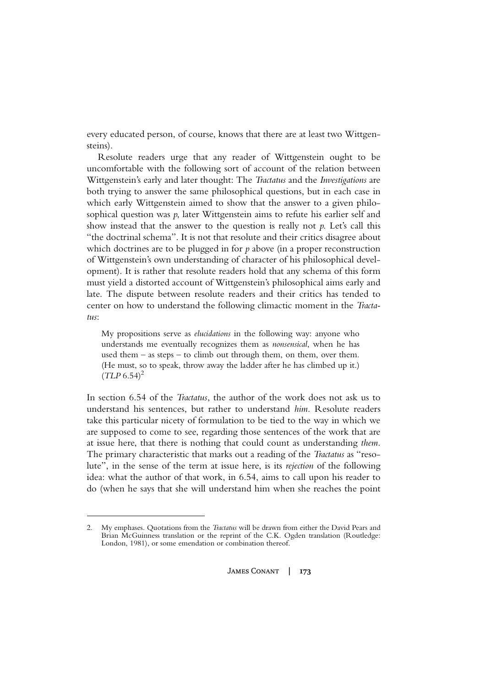every educated person, of course, knows that there are at least two Wittgensteins).

Resolute readers urge that any reader of Wittgenstein ought to be uncomfortable with the following sort of account of the relation between Wittgenstein's early and later thought: The *Tractatus* and the *Investigations* are both trying to answer the same philosophical questions, but in each case in which early Wittgenstein aimed to show that the answer to a given philosophical question was *p*, later Wittgenstein aims to refute his earlier self and show instead that the answer to the question is really not *p*. Let's call this "the doctrinal schema". It is not that resolute and their critics disagree about which doctrines are to be plugged in for *p* above (in a proper reconstruction of Wittgenstein's own understanding of character of his philosophical development). It is rather that resolute readers hold that any schema of this form must yield a distorted account of Wittgenstein's philosophical aims early and late. The dispute between resolute readers and their critics has tended to center on how to understand the following climactic moment in the *Tractatus*:

My propositions serve as *elucidations* in the following way: anyone who understands me eventually recognizes them as *nonsensical*, when he has used them  $-$  as steps  $-$  to climb out through them, on them, over them. (He must, so to speak, throw away the ladder after he has climbed up it.)  $(TLP 6.54)^2$ 

In section 6.54 of the *Tractatus*, the author of the work does not ask us to understand his sentences, but rather to understand *him*. Resolute readers take this particular nicety of formulation to be tied to the way in which we are supposed to come to see, regarding those sentences of the work that are at issue here, that there is nothing that could count as understanding *them*. The primary characteristic that marks out a reading of the *Tractatus* as "resolute", in the sense of the term at issue here, is its *rejection* of the following idea: what the author of that work, in 6.54, aims to call upon his reader to do (when he says that she will understand him when she reaches the point

<sup>2.</sup> My emphases. Quotations from the *Tractatus* will be drawn from either the David Pears and Brian McGuinness translation or the reprint of the C.K. Ogden translation (Routledge: London, 1981), or some emendation or combination thereof.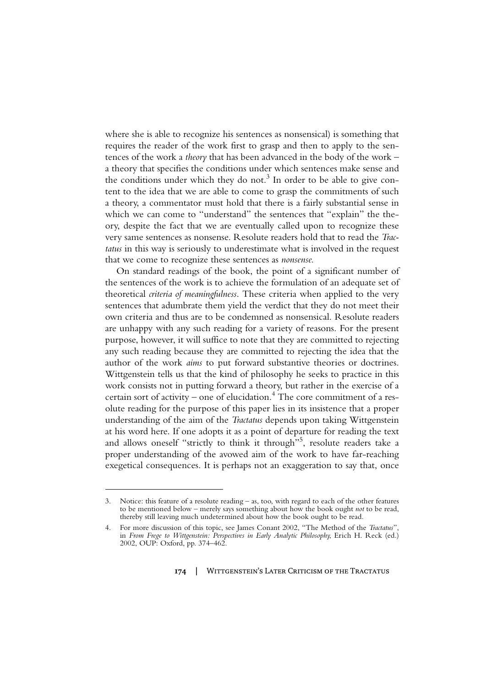where she is able to recognize his sentences as nonsensical) is something that requires the reader of the work first to grasp and then to apply to the sentences of the work a *theory* that has been advanced in the body of the work – a theory that specifies the conditions under which sentences make sense and the conditions under which they do not. $3$  In order to be able to give content to the idea that we are able to come to grasp the commitments of such a theory, a commentator must hold that there is a fairly substantial sense in which we can come to "understand" the sentences that "explain" the theory, despite the fact that we are eventually called upon to recognize these very same sentences as nonsense. Resolute readers hold that to read the *Tractatus* in this way is seriously to underestimate what is involved in the request that we come to recognize these sentences as *nonsense*.

On standard readings of the book, the point of a significant number of the sentences of the work is to achieve the formulation of an adequate set of theoretical *criteria of meaningfulness*. These criteria when applied to the very sentences that adumbrate them yield the verdict that they do not meet their own criteria and thus are to be condemned as nonsensical. Resolute readers are unhappy with any such reading for a variety of reasons. For the present purpose, however, it will suffice to note that they are committed to rejecting any such reading because they are committed to rejecting the idea that the author of the work *aims* to put forward substantive theories or doctrines. Wittgenstein tells us that the kind of philosophy he seeks to practice in this work consists not in putting forward a theory, but rather in the exercise of a certain sort of activity – one of elucidation.<sup>4</sup> The core commitment of a resolute reading for the purpose of this paper lies in its insistence that a proper understanding of the aim of the *Tractatus* depends upon taking Wittgenstein at his word here. If one adopts it as a point of departure for reading the text and allows oneself "strictly to think it through"<sup>5</sup>, resolute readers take a proper understanding of the avowed aim of the work to have far-reaching exegetical consequences. It is perhaps not an exaggeration to say that, once

<sup>3.</sup> Notice: this feature of a resolute reading – as, too, with regard to each of the other features to be mentioned below – merely says something about how the book ought *not* to be read, thereby still leaving much undetermined about how the book ought to be read.

<sup>4.</sup> For more discussion of this topic, see James Conant 2002, "The Method of the *Tractatus*", in *From Frege to Wittgenstein: Perspectives in Early Analytic Philosophy*, Erich H. Reck (ed.) 2002, OUP: Oxford, pp. 374–462.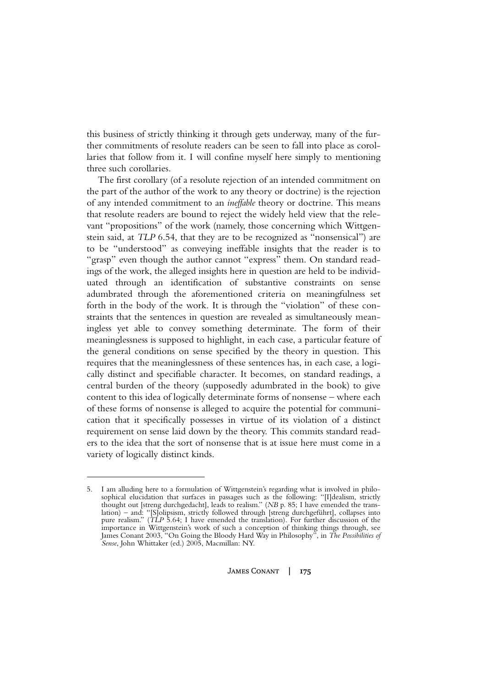this business of strictly thinking it through gets underway, many of the further commitments of resolute readers can be seen to fall into place as corollaries that follow from it. I will confine myself here simply to mentioning three such corollaries.

The first corollary (of a resolute rejection of an intended commitment on the part of the author of the work to any theory or doctrine) is the rejection of any intended commitment to an *ineffable* theory or doctrine. This means that resolute readers are bound to reject the widely held view that the relevant "propositions" of the work (namely, those concerning which Wittgenstein said, at *TLP* 6.54, that they are to be recognized as "nonsensical") are to be "understood" as conveying ineffable insights that the reader is to "grasp" even though the author cannot "express" them. On standard readings of the work, the alleged insights here in question are held to be individuated through an identification of substantive constraints on sense adumbrated through the aforementioned criteria on meaningfulness set forth in the body of the work. It is through the "violation" of these constraints that the sentences in question are revealed as simultaneously meaningless yet able to convey something determinate. The form of their meaninglessness is supposed to highlight, in each case, a particular feature of the general conditions on sense specified by the theory in question. This requires that the meaninglessness of these sentences has, in each case, a logically distinct and specifiable character. It becomes, on standard readings, a central burden of the theory (supposedly adumbrated in the book) to give content to this idea of logically determinate forms of nonsense – where each of these forms of nonsense is alleged to acquire the potential for communication that it specifically possesses in virtue of its violation of a distinct requirement on sense laid down by the theory. This commits standard readers to the idea that the sort of nonsense that is at issue here must come in a variety of logically distinct kinds.

<sup>5.</sup> I am alluding here to a formulation of Wittgenstein's regarding what is involved in philosophical elucidation that surfaces in passages such as the following: "[I]dealism, strictly thought out [streng durchgedacht], leads to realism." (*NB* p. 85; I have emended the translation) – and: "[S]olipsism, strictly followed through [streng durchgeführt], collapses into pure realism." (*TLP* 5.64; I have emended the translation). For further discussion of the importance in Wittgenstein's work of such a conception of thinking things through, see James Conant 2003, "On Going the Bloody Hard Way in Philosophy", in *The Possibilities of Sense*, John Whittaker (ed.) 2005, Macmillan: NY.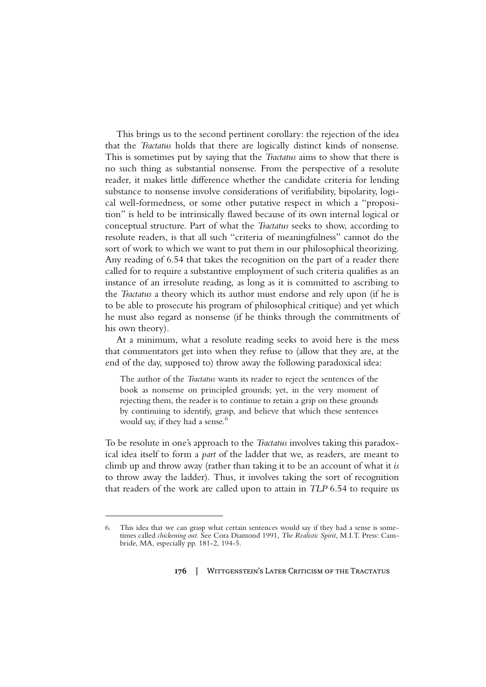This brings us to the second pertinent corollary: the rejection of the idea that the *Tractatus* holds that there are logically distinct kinds of nonsense. This is sometimes put by saying that the *Tractatus* aims to show that there is no such thing as substantial nonsense. From the perspective of a resolute reader, it makes little difference whether the candidate criteria for lending substance to nonsense involve considerations of verifiability, bipolarity, logical well-formedness, or some other putative respect in which a "proposition" is held to be intrinsically flawed because of its own internal logical or conceptual structure. Part of what the *Tractatus* seeks to show, according to resolute readers, is that all such "criteria of meaningfulness" cannot do the sort of work to which we want to put them in our philosophical theorizing. Any reading of 6.54 that takes the recognition on the part of a reader there called for to require a substantive employment of such criteria qualifies as an instance of an irresolute reading, as long as it is committed to ascribing to the *Tractatus* a theory which its author must endorse and rely upon (if he is to be able to prosecute his program of philosophical critique) and yet which he must also regard as nonsense (if he thinks through the commitments of his own theory).

At a minimum, what a resolute reading seeks to avoid here is the mess that commentators get into when they refuse to (allow that they are, at the end of the day, supposed to) throw away the following paradoxical idea:

The author of the *Tractatus* wants its reader to reject the sentences of the book as nonsense on principled grounds; yet, in the very moment of rejecting them, the reader is to continue to retain a grip on these grounds by continuing to identify, grasp, and believe that which these sentences would say, if they had a sense.<sup>6</sup>

To be resolute in one's approach to the *Tractatus* involves taking this paradoxical idea itself to form a *part* of the ladder that we, as readers, are meant to climb up and throw away (rather than taking it to be an account of what it *is* to throw away the ladder). Thus, it involves taking the sort of recognition that readers of the work are called upon to attain in *TLP* 6.54 to require us

<sup>6.</sup> This idea that we can grasp what certain sentences would say if they had a sense is sometimes called *chickening out*. See Cora Diamond 1991, *The Realistic Spirit*, M.I.T. Press: Cambride, MA, especially pp. 181-2, 194-5.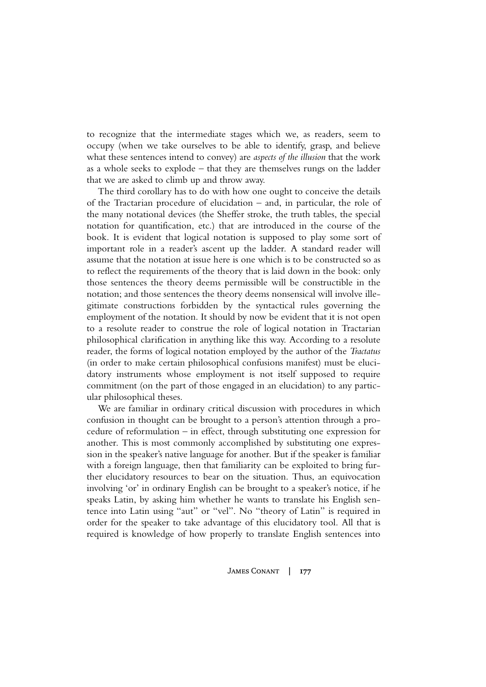to recognize that the intermediate stages which we, as readers, seem to occupy (when we take ourselves to be able to identify, grasp, and believe what these sentences intend to convey) are *aspects of the illusion* that the work as a whole seeks to explode – that they are themselves rungs on the ladder that we are asked to climb up and throw away.

The third corollary has to do with how one ought to conceive the details of the Tractarian procedure of elucidation – and, in particular, the role of the many notational devices (the Sheffer stroke, the truth tables, the special notation for quantification, etc.) that are introduced in the course of the book. It is evident that logical notation is supposed to play some sort of important role in a reader's ascent up the ladder. A standard reader will assume that the notation at issue here is one which is to be constructed so as to reflect the requirements of the theory that is laid down in the book: only those sentences the theory deems permissible will be constructible in the notation; and those sentences the theory deems nonsensical will involve illegitimate constructions forbidden by the syntactical rules governing the employment of the notation. It should by now be evident that it is not open to a resolute reader to construe the role of logical notation in Tractarian philosophical clarification in anything like this way. According to a resolute reader, the forms of logical notation employed by the author of the *Tractatus* (in order to make certain philosophical confusions manifest) must be elucidatory instruments whose employment is not itself supposed to require commitment (on the part of those engaged in an elucidation) to any particular philosophical theses.

We are familiar in ordinary critical discussion with procedures in which confusion in thought can be brought to a person's attention through a procedure of reformulation – in effect, through substituting one expression for another. This is most commonly accomplished by substituting one expression in the speaker's native language for another. But if the speaker is familiar with a foreign language, then that familiarity can be exploited to bring further elucidatory resources to bear on the situation. Thus, an equivocation involving 'or' in ordinary English can be brought to a speaker's notice, if he speaks Latin, by asking him whether he wants to translate his English sentence into Latin using "aut" or "vel". No "theory of Latin" is required in order for the speaker to take advantage of this elucidatory tool. All that is required is knowledge of how properly to translate English sentences into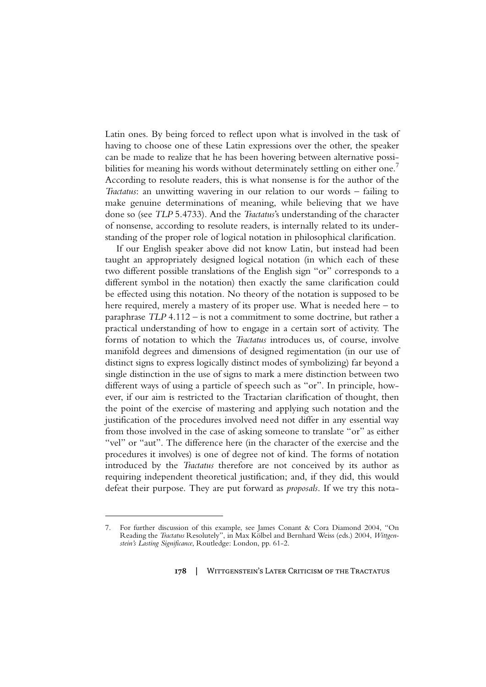Latin ones. By being forced to reflect upon what is involved in the task of having to choose one of these Latin expressions over the other, the speaker can be made to realize that he has been hovering between alternative possibilities for meaning his words without determinately settling on either one.<sup>7</sup> According to resolute readers, this is what nonsense is for the author of the *Tractatus*: an unwitting wavering in our relation to our words – failing to make genuine determinations of meaning, while believing that we have done so (see *TLP* 5.4733). And the *Tractatus*'s understanding of the character of nonsense, according to resolute readers, is internally related to its understanding of the proper role of logical notation in philosophical clarification.

If our English speaker above did not know Latin, but instead had been taught an appropriately designed logical notation (in which each of these two different possible translations of the English sign "or" corresponds to a different symbol in the notation) then exactly the same clarification could be effected using this notation. No theory of the notation is supposed to be here required, merely a mastery of its proper use. What is needed here – to paraphrase *TLP* 4.112 – is not a commitment to some doctrine, but rather a practical understanding of how to engage in a certain sort of activity. The forms of notation to which the *Tractatus* introduces us, of course, involve manifold degrees and dimensions of designed regimentation (in our use of distinct signs to express logically distinct modes of symbolizing) far beyond a single distinction in the use of signs to mark a mere distinction between two different ways of using a particle of speech such as "or". In principle, however, if our aim is restricted to the Tractarian clarification of thought, then the point of the exercise of mastering and applying such notation and the justification of the procedures involved need not differ in any essential way from those involved in the case of asking someone to translate "or" as either "vel" or "aut". The difference here (in the character of the exercise and the procedures it involves) is one of degree not of kind. The forms of notation introduced by the *Tractatus* therefore are not conceived by its author as requiring independent theoretical justification; and, if they did, this would defeat their purpose. They are put forward as *proposals*. If we try this nota-

<sup>7.</sup> For further discussion of this example, see James Conant & Cora Diamond 2004, "On Reading the *Tractatus* Resolutely", in Max Kölbel and Bernhard Weiss (eds.) 2004, *Wittgenstein's Lasting Significance*, Routledge: London, pp. 61-2.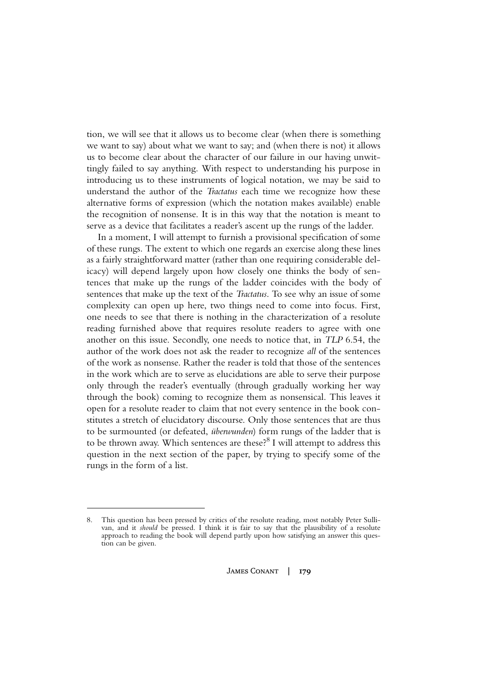tion, we will see that it allows us to become clear (when there is something we want to say) about what we want to say; and (when there is not) it allows us to become clear about the character of our failure in our having unwittingly failed to say anything. With respect to understanding his purpose in introducing us to these instruments of logical notation, we may be said to understand the author of the *Tractatus* each time we recognize how these alternative forms of expression (which the notation makes available) enable the recognition of nonsense. It is in this way that the notation is meant to serve as a device that facilitates a reader's ascent up the rungs of the ladder.

In a moment, I will attempt to furnish a provisional specification of some of these rungs. The extent to which one regards an exercise along these lines as a fairly straightforward matter (rather than one requiring considerable delicacy) will depend largely upon how closely one thinks the body of sentences that make up the rungs of the ladder coincides with the body of sentences that make up the text of the *Tractatus*. To see why an issue of some complexity can open up here, two things need to come into focus. First, one needs to see that there is nothing in the characterization of a resolute reading furnished above that requires resolute readers to agree with one another on this issue. Secondly, one needs to notice that, in *TLP* 6.54, the author of the work does not ask the reader to recognize *all* of the sentences of the work as nonsense. Rather the reader is told that those of the sentences in the work which are to serve as elucidations are able to serve their purpose only through the reader's eventually (through gradually working her way through the book) coming to recognize them as nonsensical. This leaves it open for a resolute reader to claim that not every sentence in the book constitutes a stretch of elucidatory discourse. Only those sentences that are thus to be surmounted (or defeated, *überwunden*) form rungs of the ladder that is to be thrown away. Which sentences are these? $8^8$  I will attempt to address this question in the next section of the paper, by trying to specify some of the rungs in the form of a list.

<sup>8.</sup> This question has been pressed by critics of the resolute reading, most notably Peter Sullivan, and it *should* be pressed. I think it is fair to say that the plausibility of a resolute approach to reading the book will depend partly upon how satisfying an answer this question can be given.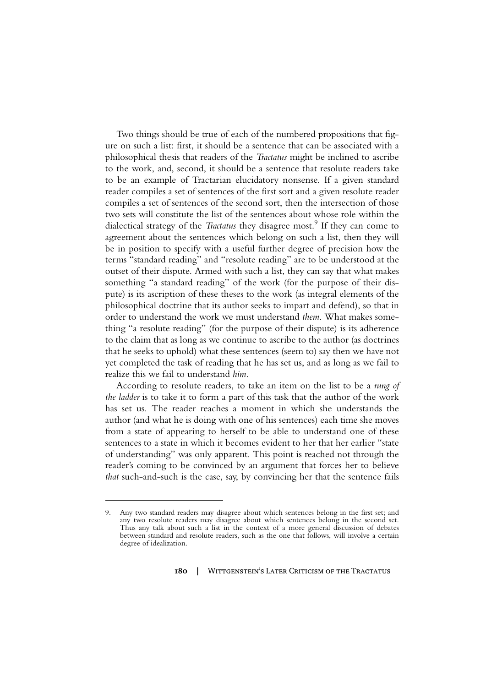Two things should be true of each of the numbered propositions that figure on such a list: first, it should be a sentence that can be associated with a philosophical thesis that readers of the *Tractatus* might be inclined to ascribe to the work, and, second, it should be a sentence that resolute readers take to be an example of Tractarian elucidatory nonsense. If a given standard reader compiles a set of sentences of the first sort and a given resolute reader compiles a set of sentences of the second sort, then the intersection of those two sets will constitute the list of the sentences about whose role within the dialectical strategy of the *Tractatus* they disagree most.<sup>9</sup> If they can come to agreement about the sentences which belong on such a list, then they will be in position to specify with a useful further degree of precision how the terms "standard reading" and "resolute reading" are to be understood at the outset of their dispute. Armed with such a list, they can say that what makes something "a standard reading" of the work (for the purpose of their dispute) is its ascription of these theses to the work (as integral elements of the philosophical doctrine that its author seeks to impart and defend), so that in order to understand the work we must understand *them*. What makes something "a resolute reading" (for the purpose of their dispute) is its adherence to the claim that as long as we continue to ascribe to the author (as doctrines that he seeks to uphold) what these sentences (seem to) say then we have not yet completed the task of reading that he has set us, and as long as we fail to realize this we fail to understand *him*.

According to resolute readers, to take an item on the list to be a *rung of the ladder* is to take it to form a part of this task that the author of the work has set us. The reader reaches a moment in which she understands the author (and what he is doing with one of his sentences) each time she moves from a state of appearing to herself to be able to understand one of these sentences to a state in which it becomes evident to her that her earlier "state of understanding" was only apparent. This point is reached not through the reader's coming to be convinced by an argument that forces her to believe *that* such-and-such is the case, say, by convincing her that the sentence fails

Any two standard readers may disagree about which sentences belong in the first set; and any two resolute readers may disagree about which sentences belong in the second set. Thus any talk about such a list in the context of a more general discussion of debates between standard and resolute readers, such as the one that follows, will involve a certain degree of idealization.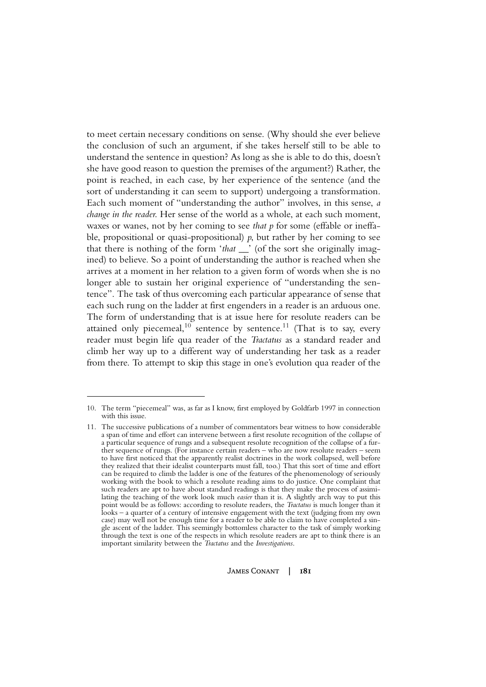to meet certain necessary conditions on sense. (Why should she ever believe the conclusion of such an argument, if she takes herself still to be able to understand the sentence in question? As long as she is able to do this, doesn't she have good reason to question the premises of the argument?) Rather, the point is reached, in each case, by her experience of the sentence (and the sort of understanding it can seem to support) undergoing a transformation. Each such moment of "understanding the author" involves, in this sense, *a change in the reader*. Her sense of the world as a whole, at each such moment, waxes or wanes, not by her coming to see *that p* for some (effable or ineffable, propositional or quasi-propositional) *p*, but rather by her coming to see that there is nothing of the form '*that \_\_*' (of the sort she originally imagined) to believe. So a point of understanding the author is reached when she arrives at a moment in her relation to a given form of words when she is no longer able to sustain her original experience of "understanding the sentence". The task of thus overcoming each particular appearance of sense that each such rung on the ladder at first engenders in a reader is an arduous one. The form of understanding that is at issue here for resolute readers can be attained only piecemeal, $10$  sentence by sentence.<sup>11</sup> (That is to say, every reader must begin life qua reader of the *Tractatus* as a standard reader and climb her way up to a different way of understanding her task as a reader from there. To attempt to skip this stage in one's evolution qua reader of the

<sup>10.</sup> The term "piecemeal" was, as far as I know, first employed by Goldfarb 1997 in connection with this issue.

<sup>11.</sup> The successive publications of a number of commentators bear witness to how considerable a span of time and effort can intervene between a first resolute recognition of the collapse of a particular sequence of rungs and a subsequent resolute recognition of the collapse of a further sequence of rungs. (For instance certain readers – who are now resolute readers – seem to have first noticed that the apparently realist doctrines in the work collapsed, well before they realized that their idealist counterparts must fall, too.) That this sort of time and effort can be required to climb the ladder is one of the features of the phenomenology of seriously working with the book to which a resolute reading aims to do justice. One complaint that such readers are apt to have about standard readings is that they make the process of assimilating the teaching of the work look much *easier* than it is. A slightly arch way to put this point would be as follows: according to resolute readers, the *Tractatus* is much longer than it looks – a quarter of a century of intensive engagement with the text (judging from my own case) may well not be enough time for a reader to be able to claim to have completed a single ascent of the ladder. This seemingly bottomless character to the task of simply working through the text is one of the respects in which resolute readers are apt to think there is an important similarity between the *Tractatus* and the *Investigations*.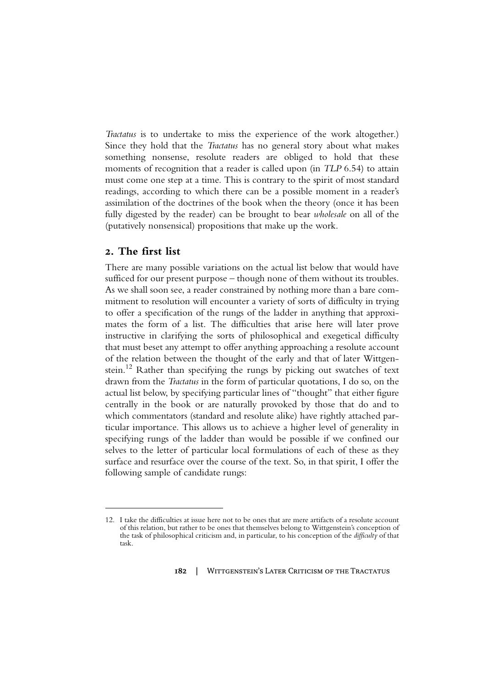*Tractatus* is to undertake to miss the experience of the work altogether.) Since they hold that the *Tractatus* has no general story about what makes something nonsense, resolute readers are obliged to hold that these moments of recognition that a reader is called upon (in *TLP* 6.54) to attain must come one step at a time. This is contrary to the spirit of most standard readings, according to which there can be a possible moment in a reader's assimilation of the doctrines of the book when the theory (once it has been fully digested by the reader) can be brought to bear *wholesale* on all of the (putatively nonsensical) propositions that make up the work.

### **2. The first list**

There are many possible variations on the actual list below that would have sufficed for our present purpose – though none of them without its troubles. As we shall soon see, a reader constrained by nothing more than a bare commitment to resolution will encounter a variety of sorts of difficulty in trying to offer a specification of the rungs of the ladder in anything that approximates the form of a list. The difficulties that arise here will later prove instructive in clarifying the sorts of philosophical and exegetical difficulty that must beset any attempt to offer anything approaching a resolute account of the relation between the thought of the early and that of later Wittgenstein.<sup>12</sup> Rather than specifying the rungs by picking out swatches of text drawn from the *Tractatus* in the form of particular quotations, I do so, on the actual list below, by specifying particular lines of "thought" that either figure centrally in the book or are naturally provoked by those that do and to which commentators (standard and resolute alike) have rightly attached particular importance. This allows us to achieve a higher level of generality in specifying rungs of the ladder than would be possible if we confined our selves to the letter of particular local formulations of each of these as they surface and resurface over the course of the text. So, in that spirit, I offer the following sample of candidate rungs:

<sup>12.</sup> I take the difficulties at issue here not to be ones that are mere artifacts of a resolute account of this relation, but rather to be ones that themselves belong to Wittgenstein's conception of the task of philosophical criticism and, in particular, to his conception of the *difficulty* of that task.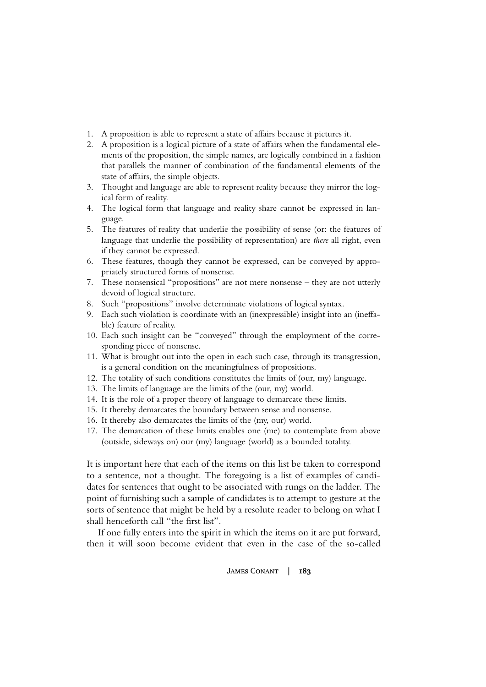- 1. A proposition is able to represent a state of affairs because it pictures it.
- 2. A proposition is a logical picture of a state of affairs when the fundamental elements of the proposition, the simple names, are logically combined in a fashion that parallels the manner of combination of the fundamental elements of the state of affairs, the simple objects.
- 3. Thought and language are able to represent reality because they mirror the logical form of reality.
- 4. The logical form that language and reality share cannot be expressed in language.
- 5. The features of reality that underlie the possibility of sense (or: the features of language that underlie the possibility of representation) are *there* all right, even if they cannot be expressed.
- 6. These features, though they cannot be expressed, can be conveyed by appropriately structured forms of nonsense.
- 7. These nonsensical "propositions" are not mere nonsense they are not utterly devoid of logical structure.
- 8. Such "propositions" involve determinate violations of logical syntax.
- 9. Each such violation is coordinate with an (inexpressible) insight into an (ineffable) feature of reality.
- 10. Each such insight can be "conveyed" through the employment of the corresponding piece of nonsense.
- 11. What is brought out into the open in each such case, through its transgression, is a general condition on the meaningfulness of propositions.
- 12. The totality of such conditions constitutes the limits of (our, my) language.
- 13. The limits of language are the limits of the (our, my) world.
- 14. It is the role of a proper theory of language to demarcate these limits.
- 15. It thereby demarcates the boundary between sense and nonsense.
- 16. It thereby also demarcates the limits of the (my, our) world.
- 17. The demarcation of these limits enables one (me) to contemplate from above (outside, sideways on) our (my) language (world) as a bounded totality.

It is important here that each of the items on this list be taken to correspond to a sentence, not a thought. The foregoing is a list of examples of candidates for sentences that ought to be associated with rungs on the ladder. The point of furnishing such a sample of candidates is to attempt to gesture at the sorts of sentence that might be held by a resolute reader to belong on what I shall henceforth call "the first list".

If one fully enters into the spirit in which the items on it are put forward, then it will soon become evident that even in the case of the so-called

James Conant **| 183**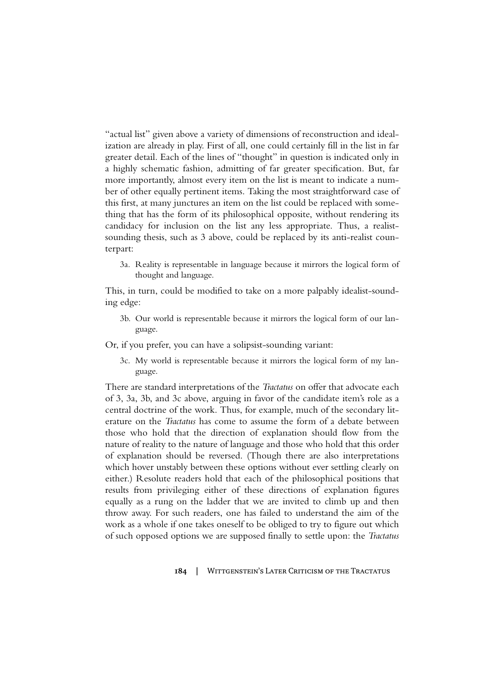"actual list" given above a variety of dimensions of reconstruction and idealization are already in play. First of all, one could certainly fill in the list in far greater detail. Each of the lines of "thought" in question is indicated only in a highly schematic fashion, admitting of far greater specification. But, far more importantly, almost every item on the list is meant to indicate a number of other equally pertinent items. Taking the most straightforward case of this first, at many junctures an item on the list could be replaced with something that has the form of its philosophical opposite, without rendering its candidacy for inclusion on the list any less appropriate. Thus, a realistsounding thesis, such as 3 above, could be replaced by its anti-realist counterpart:

3a. Reality is representable in language because it mirrors the logical form of thought and language.

This, in turn, could be modified to take on a more palpably idealist-sounding edge:

- 3b. Our world is representable because it mirrors the logical form of our language.
- Or, if you prefer, you can have a solipsist-sounding variant:
	- 3c. My world is representable because it mirrors the logical form of my language.

There are standard interpretations of the *Tractatus* on offer that advocate each of 3, 3a, 3b, and 3c above, arguing in favor of the candidate item's role as a central doctrine of the work. Thus, for example, much of the secondary literature on the *Tractatus* has come to assume the form of a debate between those who hold that the direction of explanation should flow from the nature of reality to the nature of language and those who hold that this order of explanation should be reversed. (Though there are also interpretations which hover unstably between these options without ever settling clearly on either.) Resolute readers hold that each of the philosophical positions that results from privileging either of these directions of explanation figures equally as a rung on the ladder that we are invited to climb up and then throw away. For such readers, one has failed to understand the aim of the work as a whole if one takes oneself to be obliged to try to figure out which of such opposed options we are supposed finally to settle upon: the *Tractatus*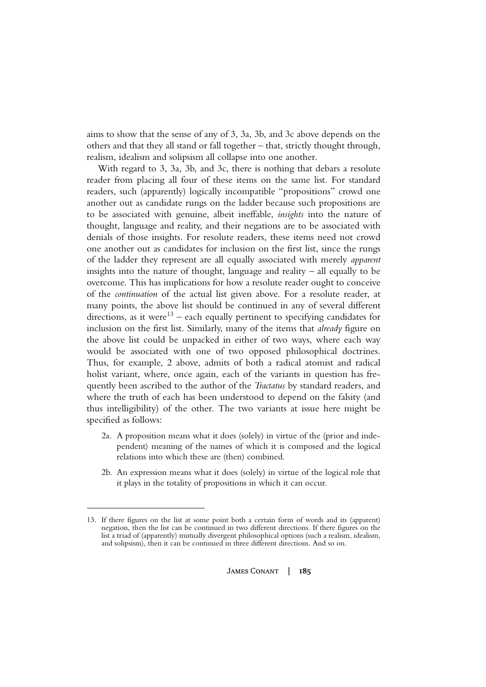aims to show that the sense of any of 3, 3a, 3b, and 3c above depends on the others and that they all stand or fall together – that, strictly thought through, realism, idealism and solipsism all collapse into one another.

With regard to 3, 3a, 3b, and 3c, there is nothing that debars a resolute reader from placing all four of these items on the same list. For standard readers, such (apparently) logically incompatible "propositions" crowd one another out as candidate rungs on the ladder because such propositions are to be associated with genuine, albeit ineffable, *insights* into the nature of thought, language and reality, and their negations are to be associated with denials of those insights. For resolute readers, these items need not crowd one another out as candidates for inclusion on the first list, since the rungs of the ladder they represent are all equally associated with merely *apparent* insights into the nature of thought, language and reality – all equally to be overcome. This has implications for how a resolute reader ought to conceive of the *continuation* of the actual list given above. For a resolute reader, at many points, the above list should be continued in any of several different directions, as it were<sup>13</sup> – each equally pertinent to specifying candidates for inclusion on the first list. Similarly, many of the items that *already* figure on the above list could be unpacked in either of two ways, where each way would be associated with one of two opposed philosophical doctrines. Thus, for example, 2 above, admits of both a radical atomist and radical holist variant, where, once again, each of the variants in question has frequently been ascribed to the author of the *Tractatus* by standard readers, and where the truth of each has been understood to depend on the falsity (and thus intelligibility) of the other. The two variants at issue here might be specified as follows:

- 2a. A proposition means what it does (solely) in virtue of the (prior and independent) meaning of the names of which it is composed and the logical relations into which these are (then) combined.
- 2b. An expression means what it does (solely) in virtue of the logical role that it plays in the totality of propositions in which it can occur.

<sup>13.</sup> If there figures on the list at some point both a certain form of words and its (apparent) negation, then the list can be continued in two different directions. If there figures on the list a triad of (apparently) mutually divergent philosophical options (such a realism, idealism, and solipsism), then it can be continued in three different directions. And so on.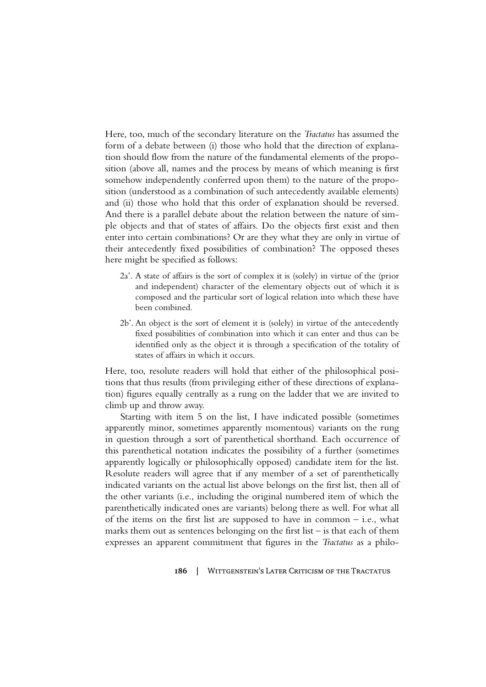Here, too, much of the secondary literature on the *Tractatus* has assumed the form of a debate between (i) those who hold that the direction of explanation should flow from the nature of the fundamental elements of the proposition (above all, names and the process by means of which meaning is first somehow independently conferred upon them) to the nature of the proposition (understood as a combination of such antecedently available elements) and (ii) those who hold that this order of explanation should be reversed. And there is a parallel debate about the relation between the nature of simple objects and that of states of affairs. Do the objects first exist and then enter into certain combinations? Or are they what they are only in virtue of their antecedently fixed possibilities of combination? The opposed theses here might be specified as follows:

- 2a'. A state of affairs is the sort of complex it is (solely) in virtue of the (prior and independent) character of the elementary objects out of which it is composed and the particular sort of logical relation into which these have been combined.
- 2b'. An object is the sort of element it is (solely) in virtue of the antecedently fixed possibilities of combination into which it can enter and thus can be identified only as the object it is through a specification of the totality of states of affairs in which it occurs.

Here, too, resolute readers will hold that either of the philosophical positions that thus results (from privileging either of these directions of explanation) figures equally centrally as a rung on the ladder that we are invited to climb up and throw away.

 Starting with item 5 on the list, I have indicated possible (sometimes apparently minor, sometimes apparently momentous) variants on the rung in question through a sort of parenthetical shorthand. Each occurrence of this parenthetical notation indicates the possibility of a further (sometimes apparently logically or philosophically opposed) candidate item for the list. Resolute readers will agree that if any member of a set of parenthetically indicated variants on the actual list above belongs on the first list, then all of the other variants (i.e., including the original numbered item of which the parenthetically indicated ones are variants) belong there as well. For what all of the items on the first list are supposed to have in common  $-$  i.e., what marks them out as sentences belonging on the first list  $-$  is that each of them expresses an apparent commitment that figures in the *Tractatus* as a philo-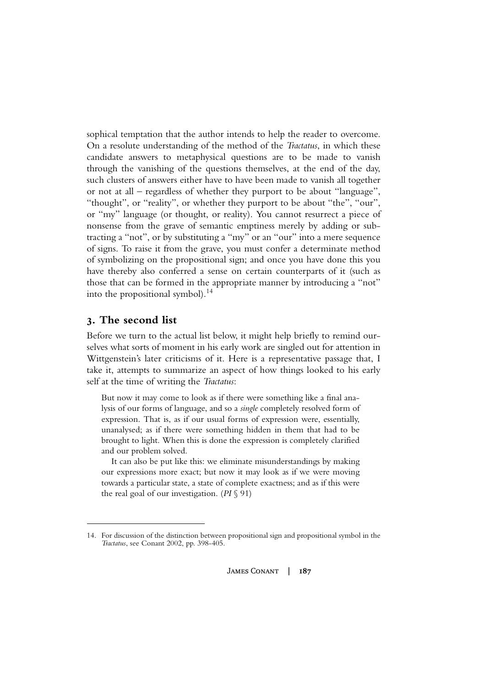sophical temptation that the author intends to help the reader to overcome. On a resolute understanding of the method of the *Tractatus*, in which these candidate answers to metaphysical questions are to be made to vanish through the vanishing of the questions themselves, at the end of the day, such clusters of answers either have to have been made to vanish all together or not at all – regardless of whether they purport to be about "language", "thought", or "reality", or whether they purport to be about "the", "our", or "my" language (or thought, or reality). You cannot resurrect a piece of nonsense from the grave of semantic emptiness merely by adding or subtracting a "not", or by substituting a "my" or an "our" into a mere sequence of signs. To raise it from the grave, you must confer a determinate method of symbolizing on the propositional sign; and once you have done this you have thereby also conferred a sense on certain counterparts of it (such as those that can be formed in the appropriate manner by introducing a "not" into the propositional symbol).<sup>14</sup>

## **3. The second list**

Before we turn to the actual list below, it might help briefly to remind ourselves what sorts of moment in his early work are singled out for attention in Wittgenstein's later criticisms of it. Here is a representative passage that, I take it, attempts to summarize an aspect of how things looked to his early self at the time of writing the *Tractatus*:

But now it may come to look as if there were something like a final analysis of our forms of language, and so a *single* completely resolved form of expression. That is, as if our usual forms of expression were, essentially, unanalysed; as if there were something hidden in them that had to be brought to light. When this is done the expression is completely clarified and our problem solved.

 It can also be put like this: we eliminate misunderstandings by making our expressions more exact; but now it may look as if we were moving towards a particular state, a state of complete exactness; and as if this were the real goal of our investigation. (*PI* § 91)

<sup>14.</sup> For discussion of the distinction between propositional sign and propositional symbol in the *Tractatus*, see Conant 2002, pp. 398-405.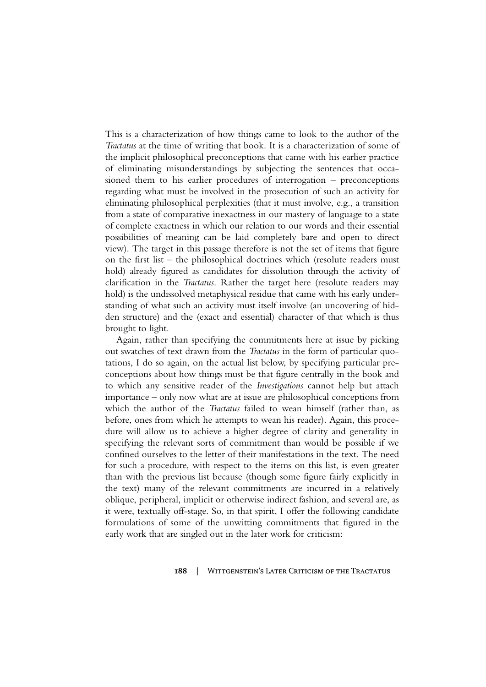This is a characterization of how things came to look to the author of the *Tractatus* at the time of writing that book. It is a characterization of some of the implicit philosophical preconceptions that came with his earlier practice of eliminating misunderstandings by subjecting the sentences that occasioned them to his earlier procedures of interrogation – preconceptions regarding what must be involved in the prosecution of such an activity for eliminating philosophical perplexities (that it must involve, e.g., a transition from a state of comparative inexactness in our mastery of language to a state of complete exactness in which our relation to our words and their essential possibilities of meaning can be laid completely bare and open to direct view). The target in this passage therefore is not the set of items that figure on the first list – the philosophical doctrines which (resolute readers must hold) already figured as candidates for dissolution through the activity of clarification in the *Tractatus*. Rather the target here (resolute readers may hold) is the undissolved metaphysical residue that came with his early understanding of what such an activity must itself involve (an uncovering of hidden structure) and the (exact and essential) character of that which is thus brought to light.

Again, rather than specifying the commitments here at issue by picking out swatches of text drawn from the *Tractatus* in the form of particular quotations, I do so again, on the actual list below, by specifying particular preconceptions about how things must be that figure centrally in the book and to which any sensitive reader of the *Investigations* cannot help but attach importance – only now what are at issue are philosophical conceptions from which the author of the *Tractatus* failed to wean himself (rather than, as before, ones from which he attempts to wean his reader). Again, this procedure will allow us to achieve a higher degree of clarity and generality in specifying the relevant sorts of commitment than would be possible if we confined ourselves to the letter of their manifestations in the text. The need for such a procedure, with respect to the items on this list, is even greater than with the previous list because (though some figure fairly explicitly in the text) many of the relevant commitments are incurred in a relatively oblique, peripheral, implicit or otherwise indirect fashion, and several are, as it were, textually off-stage. So, in that spirit, I offer the following candidate formulations of some of the unwitting commitments that figured in the early work that are singled out in the later work for criticism: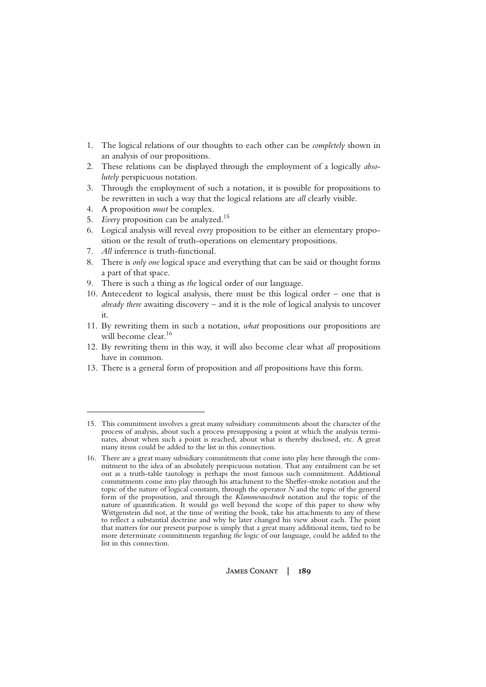- 1. The logical relations of our thoughts to each other can be *completely* shown in an analysis of our propositions.
- 2. These relations can be displayed through the employment of a logically *absolutely* perspicuous notation.
- 3. Through the employment of such a notation, it is possible for propositions to be rewritten in such a way that the logical relations are *all* clearly visible.
- 4. A proposition *must* be complex.
- 5. *Every* proposition can be analyzed.15
- 6. Logical analysis will reveal *every* proposition to be either an elementary proposition or the result of truth-operations on elementary propositions.
- 7. *All* inference is truth-functional.
- 8. There is *only one* logical space and everything that can be said or thought forms a part of that space.
- 9. There is such a thing as *the* logical order of our language.
- 10. Antecedent to logical analysis, there must be this logical order one that is *already there* awaiting discovery – and it is the role of logical analysis to uncover it.
- 11. By rewriting them in such a notation, *what* propositions our propositions are will become clear.<sup>16</sup>
- 12. By rewriting them in this way, it will also become clear what *all* propositions have in common.
- 13. There is a general form of proposition and *all* propositions have this form.

<sup>15.</sup> This commitment involves a great many subsidiary commitments about the character of the process of analysis, about such a process presupposing a point at which the analysis terminates, about when such a point is reached, about what is thereby disclosed, etc. A great many items could be added to the list in this connection.

<sup>16.</sup> There are a great many subsidiary commitments that come into play here through the commitment to the idea of an absolutely perspicuous notation. That any entailment can be set out as a truth-table tautology is perhaps the most famous such commitment. Additional commitments come into play through his attachment to the Sheffer-stroke notation and the topic of the nature of logical constants, through the operator *N* and the topic of the general form of the proposition, and through the *Klammerausdruck* notation and the topic of the nature of quantification. It would go well beyond the scope of this paper to show why Wittgenstein did not, at the time of writing the book, take his attachments to any of these to reflect a substantial doctrine and why he later changed his view about each. The point that matters for our present purpose is simply that a great many additional items, tied to be more determinate commitments regarding *the* logic of our language, could be added to the list in this connection.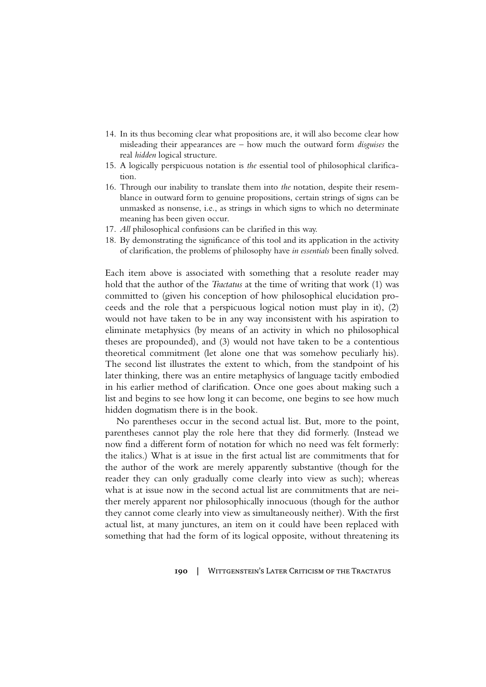- 14. In its thus becoming clear what propositions are, it will also become clear how misleading their appearances are – how much the outward form *disguises* the real *hidden* logical structure.
- 15. A logically perspicuous notation is *the* essential tool of philosophical clarification.
- 16. Through our inability to translate them into *the* notation, despite their resemblance in outward form to genuine propositions, certain strings of signs can be unmasked as nonsense, i.e., as strings in which signs to which no determinate meaning has been given occur.
- 17. *All* philosophical confusions can be clarified in this way.
- 18. By demonstrating the significance of this tool and its application in the activity of clarification, the problems of philosophy have *in essentials* been finally solved.

Each item above is associated with something that a resolute reader may hold that the author of the *Tractatus* at the time of writing that work (1) was committed to (given his conception of how philosophical elucidation proceeds and the role that a perspicuous logical notion must play in it), (2) would not have taken to be in any way inconsistent with his aspiration to eliminate metaphysics (by means of an activity in which no philosophical theses are propounded), and (3) would not have taken to be a contentious theoretical commitment (let alone one that was somehow peculiarly his). The second list illustrates the extent to which, from the standpoint of his later thinking, there was an entire metaphysics of language tacitly embodied in his earlier method of clarification. Once one goes about making such a list and begins to see how long it can become, one begins to see how much hidden dogmatism there is in the book.

No parentheses occur in the second actual list. But, more to the point, parentheses cannot play the role here that they did formerly. (Instead we now find a different form of notation for which no need was felt formerly: the italics.) What is at issue in the first actual list are commitments that for the author of the work are merely apparently substantive (though for the reader they can only gradually come clearly into view as such); whereas what is at issue now in the second actual list are commitments that are neither merely apparent nor philosophically innocuous (though for the author they cannot come clearly into view as simultaneously neither). With the first actual list, at many junctures, an item on it could have been replaced with something that had the form of its logical opposite, without threatening its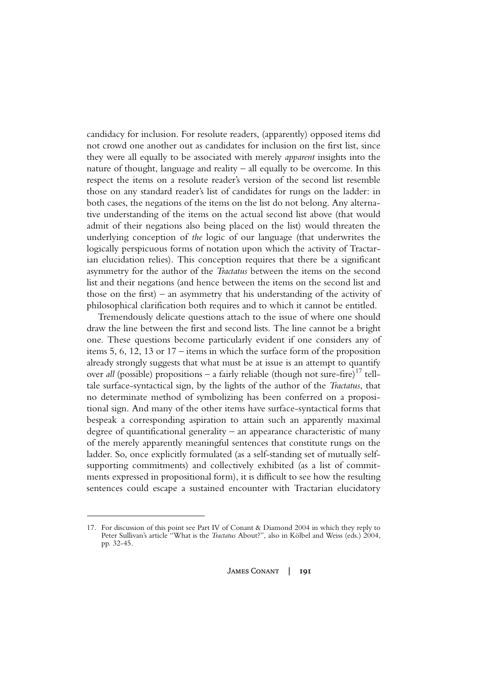candidacy for inclusion. For resolute readers, (apparently) opposed items did not crowd one another out as candidates for inclusion on the first list, since they were all equally to be associated with merely *apparent* insights into the nature of thought, language and reality – all equally to be overcome. In this respect the items on a resolute reader's version of the second list resemble those on any standard reader's list of candidates for rungs on the ladder: in both cases, the negations of the items on the list do not belong. Any alternative understanding of the items on the actual second list above (that would admit of their negations also being placed on the list) would threaten the underlying conception of *the* logic of our language (that underwrites the logically perspicuous forms of notation upon which the activity of Tractarian elucidation relies). This conception requires that there be a significant asymmetry for the author of the *Tractatus* between the items on the second list and their negations (and hence between the items on the second list and those on the first) – an asymmetry that his understanding of the activity of philosophical clarification both requires and to which it cannot be entitled.

Tremendously delicate questions attach to the issue of where one should draw the line between the first and second lists. The line cannot be a bright one. These questions become particularly evident if one considers any of items 5, 6, 12, 13 or 17 – items in which the surface form of the proposition already strongly suggests that what must be at issue is an attempt to quantify over *all* (possible) propositions – a fairly reliable (though not sure-fire)<sup>17</sup> telltale surface-syntactical sign, by the lights of the author of the *Tractatus*, that no determinate method of symbolizing has been conferred on a propositional sign. And many of the other items have surface-syntactical forms that bespeak a corresponding aspiration to attain such an apparently maximal degree of quantificational generality – an appearance characteristic of many of the merely apparently meaningful sentences that constitute rungs on the ladder. So, once explicitly formulated (as a self-standing set of mutually selfsupporting commitments) and collectively exhibited (as a list of commitments expressed in propositional form), it is difficult to see how the resulting sentences could escape a sustained encounter with Tractarian elucidatory

<sup>17.</sup> For discussion of this point see Part IV of Conant & Diamond 2004 in which they reply to Peter Sullivan's article "What is the *Tractatus* About?", also in Kölbel and Weiss (eds.) 2004, pp. 32-45*.*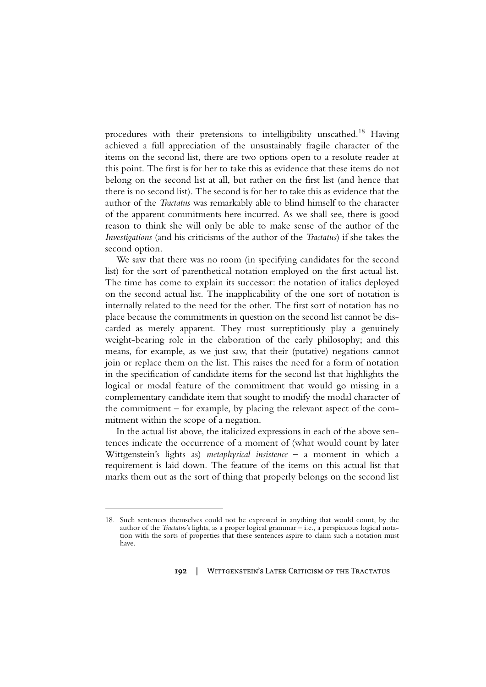procedures with their pretensions to intelligibility unscathed.18 Having achieved a full appreciation of the unsustainably fragile character of the items on the second list, there are two options open to a resolute reader at this point. The first is for her to take this as evidence that these items do not belong on the second list at all, but rather on the first list (and hence that there is no second list). The second is for her to take this as evidence that the author of the *Tractatus* was remarkably able to blind himself to the character of the apparent commitments here incurred. As we shall see, there is good reason to think she will only be able to make sense of the author of the *Investigations* (and his criticisms of the author of the *Tractatus*) if she takes the second option.

We saw that there was no room (in specifying candidates for the second list) for the sort of parenthetical notation employed on the first actual list. The time has come to explain its successor: the notation of italics deployed on the second actual list. The inapplicability of the one sort of notation is internally related to the need for the other. The first sort of notation has no place because the commitments in question on the second list cannot be discarded as merely apparent. They must surreptitiously play a genuinely weight-bearing role in the elaboration of the early philosophy; and this means, for example, as we just saw, that their (putative) negations cannot join or replace them on the list. This raises the need for a form of notation in the specification of candidate items for the second list that highlights the logical or modal feature of the commitment that would go missing in a complementary candidate item that sought to modify the modal character of the commitment – for example, by placing the relevant aspect of the commitment within the scope of a negation.

In the actual list above, the italicized expressions in each of the above sentences indicate the occurrence of a moment of (what would count by later Wittgenstein's lights as) *metaphysical insistence* – a moment in which a requirement is laid down. The feature of the items on this actual list that marks them out as the sort of thing that properly belongs on the second list

<sup>18.</sup> Such sentences themselves could not be expressed in anything that would count, by the author of the *Tractatus*'s lights, as a proper logical grammar – i.e., a perspicuous logical notation with the sorts of properties that these sentences aspire to claim such a notation must have.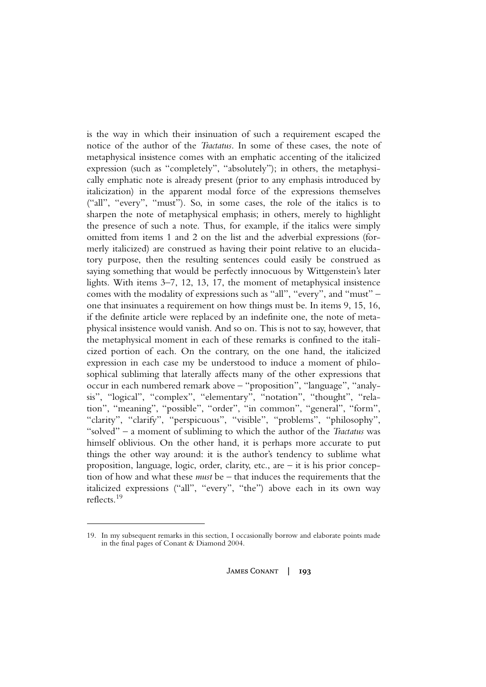is the way in which their insinuation of such a requirement escaped the notice of the author of the *Tractatus*. In some of these cases, the note of metaphysical insistence comes with an emphatic accenting of the italicized expression (such as "completely", "absolutely"); in others, the metaphysically emphatic note is already present (prior to any emphasis introduced by italicization) in the apparent modal force of the expressions themselves ("all", "every", "must"). So, in some cases, the role of the italics is to sharpen the note of metaphysical emphasis; in others, merely to highlight the presence of such a note. Thus, for example, if the italics were simply omitted from items 1 and 2 on the list and the adverbial expressions (formerly italicized) are construed as having their point relative to an elucidatory purpose, then the resulting sentences could easily be construed as saying something that would be perfectly innocuous by Wittgenstein's later lights. With items 3–7, 12, 13, 17, the moment of metaphysical insistence comes with the modality of expressions such as "all", "every", and "must" – one that insinuates a requirement on how things must be. In items 9, 15, 16, if the definite article were replaced by an indefinite one, the note of metaphysical insistence would vanish. And so on. This is not to say, however, that the metaphysical moment in each of these remarks is confined to the italicized portion of each. On the contrary, on the one hand, the italicized expression in each case my be understood to induce a moment of philosophical subliming that laterally affects many of the other expressions that occur in each numbered remark above – "proposition", "language", "analysis", "logical", "complex", "elementary", "notation", "thought", "relation", "meaning", "possible", "order", "in common", "general", "form", "clarity", "clarify", "perspicuous", "visible", "problems", "philosophy", "solved" – a moment of subliming to which the author of the *Tractatus* was himself oblivious. On the other hand, it is perhaps more accurate to put things the other way around: it is the author's tendency to sublime what proposition, language, logic, order, clarity, etc., are – it is his prior conception of how and what these *must* be – that induces the requirements that the italicized expressions ("all", "every", "the") above each in its own way reflects.19

<sup>19.</sup> In my subsequent remarks in this section, I occasionally borrow and elaborate points made in the final pages of Conant & Diamond 2004.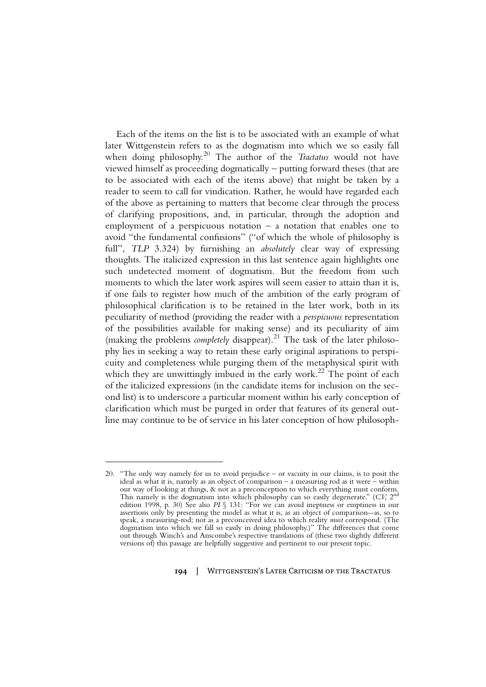Each of the items on the list is to be associated with an example of what later Wittgenstein refers to as the dogmatism into which we so easily fall when doing philosophy.20 The author of the *Tractatus* would not have viewed himself as proceeding dogmatically – putting forward theses (that are to be associated with each of the items above) that might be taken by a reader to seem to call for vindication. Rather, he would have regarded each of the above as pertaining to matters that become clear through the process of clarifying propositions, and, in particular, through the adoption and employment of a perspicuous notation  $-$  a notation that enables one to avoid "the fundamental confusions" ("of which the whole of philosophy is full", *TLP* 3.324) by furnishing an *absolutely* clear way of expressing thoughts. The italicized expression in this last sentence again highlights one such undetected moment of dogmatism. But the freedom from such moments to which the later work aspires will seem easier to attain than it is, if one fails to register how much of the ambition of the early program of philosophical clarification is to be retained in the later work, both in its peculiarity of method (providing the reader with a *perspicuous* representation of the possibilities available for making sense) and its peculiarity of aim (making the problems *completely* disappear).<sup>21</sup> The task of the later philosophy lies in seeking a way to retain these early original aspirations to perspicuity and completeness while purging them of the metaphysical spirit with which they are unwittingly imbued in the early work.<sup>22</sup> The point of each of the italicized expressions (in the candidate items for inclusion on the second list) is to underscore a particular moment within his early conception of clarification which must be purged in order that features of its general outline may continue to be of service in his later conception of how philosoph-

<sup>20. &</sup>quot;The only way namely for us to avoid prejudice – or vacuity in our claims, is to posit the ideal as what it is, namely as an object of comparison – a measuring rod as it were – within our way of looking at things, & not as a preconception to which everything must conform.<br>This namely is the dogmatism into which philosophy can so easily degenerate." (*CV*, 2<sup>nd</sup> edition 1998, p. 30) See also *PI* § 131: "For we can avoid ineptness or emptiness in our assertions only by presenting the model as what it is, as an object of comparison--as, so to speak, a measuring-rod; not as a preconceived idea to which reality *must* correspond. (The dogmatism into which we fall so easily in doing philosophy.)" The differences that come out through Winch's and Anscombe's respective translations of (these two slightly different versions of) this passage are helpfully suggestive and pertinent to our present topic.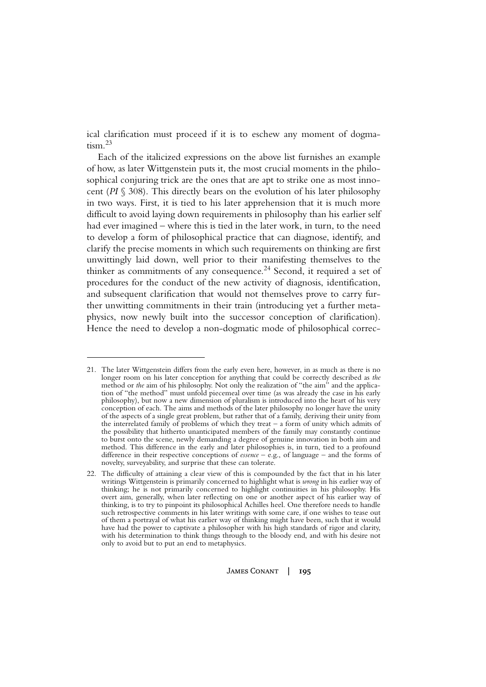ical clarification must proceed if it is to eschew any moment of dogmatism $^{23}$ 

Each of the italicized expressions on the above list furnishes an example of how, as later Wittgenstein puts it, the most crucial moments in the philosophical conjuring trick are the ones that are apt to strike one as most innocent (*PI* § 308). This directly bears on the evolution of his later philosophy in two ways. First, it is tied to his later apprehension that it is much more difficult to avoid laying down requirements in philosophy than his earlier self had ever imagined – where this is tied in the later work, in turn, to the need to develop a form of philosophical practice that can diagnose, identify, and clarify the precise moments in which such requirements on thinking are first unwittingly laid down, well prior to their manifesting themselves to the thinker as commitments of any consequence.<sup>24</sup> Second, it required a set of procedures for the conduct of the new activity of diagnosis, identification, and subsequent clarification that would not themselves prove to carry further unwitting commitments in their train (introducing yet a further metaphysics, now newly built into the successor conception of clarification). Hence the need to develop a non-dogmatic mode of philosophical correc-

<sup>21.</sup> The later Wittgenstein differs from the early even here, however, in as much as there is no longer room on his later conception for anything that could be correctly described as *the* method or *the* aim of his philosophy. Not only the realization of "the aim" and the application of "the method" must unfold piecemeal over time (as was already the case in his early philosophy), but now a new dimension of pluralism is introduced into the heart of his very conception of each. The aims and methods of the later philosophy no longer have the unity of the aspects of a single great problem, but rather that of a family, deriving their unity from the interrelated family of problems of which they treat – a form of unity which admits of the possibility that hitherto unanticipated members of the family may constantly continue to burst onto the scene, newly demanding a degree of genuine innovation in both aim and method. This difference in the early and later philosophies is, in turn, tied to a profound difference in their respective conceptions of *essence* – e.g., of language – and the forms of novelty, surveyability, and surprise that these can tolerate.

<sup>22.</sup> The difficulty of attaining a clear view of this is compounded by the fact that in his later writings Wittgenstein is primarily concerned to highlight what is *wrong* in his earlier way of thinking; he is not primarily concerned to highlight continuities in his philosophy. His overt aim, generally, when later reflecting on one or another aspect of his earlier way of thinking, is to try to pinpoint its philosophical Achilles heel. One therefore needs to handle such retrospective comments in his later writings with some care, if one wishes to tease out of them a portrayal of what his earlier way of thinking might have been, such that it would have had the power to captivate a philosopher with his high standards of rigor and clarity, with his determination to think things through to the bloody end, and with his desire not only to avoid but to put an end to metaphysics.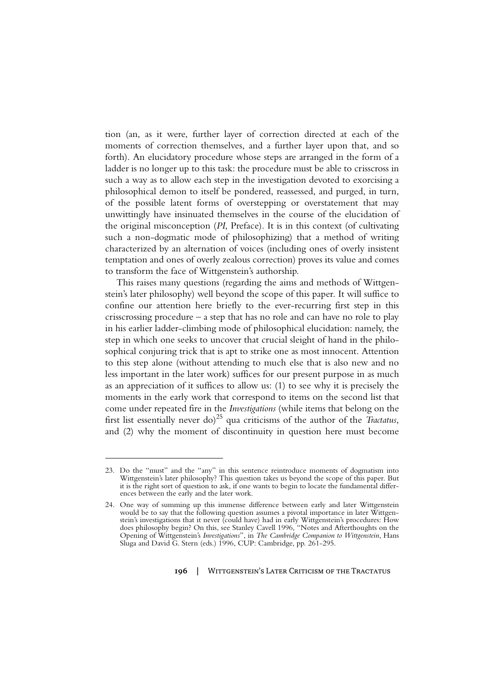tion (an, as it were, further layer of correction directed at each of the moments of correction themselves, and a further layer upon that, and so forth). An elucidatory procedure whose steps are arranged in the form of a ladder is no longer up to this task: the procedure must be able to crisscross in such a way as to allow each step in the investigation devoted to exorcising a philosophical demon to itself be pondered, reassessed, and purged, in turn, of the possible latent forms of overstepping or overstatement that may unwittingly have insinuated themselves in the course of the elucidation of the original misconception (*PI*, Preface). It is in this context (of cultivating such a non-dogmatic mode of philosophizing) that a method of writing characterized by an alternation of voices (including ones of overly insistent temptation and ones of overly zealous correction) proves its value and comes to transform the face of Wittgenstein's authorship.

This raises many questions (regarding the aims and methods of Wittgenstein's later philosophy) well beyond the scope of this paper. It will suffice to confine our attention here briefly to the ever-recurring first step in this crisscrossing procedure  $-$  a step that has no role and can have no role to play in his earlier ladder-climbing mode of philosophical elucidation: namely, the step in which one seeks to uncover that crucial sleight of hand in the philosophical conjuring trick that is apt to strike one as most innocent. Attention to this step alone (without attending to much else that is also new and no less important in the later work) suffices for our present purpose in as much as an appreciation of it suffices to allow us: (1) to see why it is precisely the moments in the early work that correspond to items on the second list that come under repeated fire in the *Investigations* (while items that belong on the first list essentially never do)<sup>25</sup> qua criticisms of the author of the *Tractatus*, and (2) why the moment of discontinuity in question here must become

<sup>23.</sup> Do the "must" and the "any" in this sentence reintroduce moments of dogmatism into Wittgenstein's later philosophy? This question takes us beyond the scope of this paper. But it is the right sort of question to ask, if one wants to begin to locate the fundamental differences between the early and the later work.

<sup>24.</sup> One way of summing up this immense difference between early and later Wittgenstein would be to say that the following question assumes a pivotal importance in later Wittgenstein's investigations that it never (could have) had in early Wittgenstein's procedures: How does philosophy begin? On this, see Stanley Cavell 1996, "Notes and Afterthoughts on the Opening of Wittgenstein's *Investigations*", in *The Cambridge Companion to Wittgenstein*, Hans Sluga and David G. Stern (eds.) 1996, CUP: Cambridge, pp. 261-295.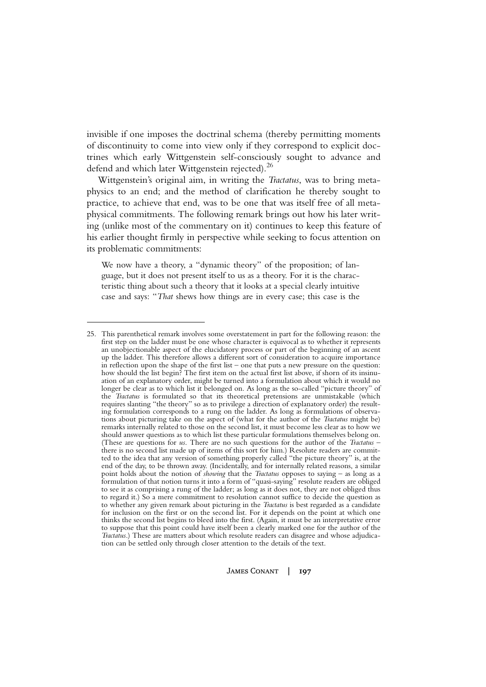invisible if one imposes the doctrinal schema (thereby permitting moments of discontinuity to come into view only if they correspond to explicit doctrines which early Wittgenstein self-consciously sought to advance and defend and which later Wittgenstein rejected).<sup>26</sup>

Wittgenstein's original aim, in writing the *Tractatus*, was to bring metaphysics to an end; and the method of clarification he thereby sought to practice, to achieve that end, was to be one that was itself free of all metaphysical commitments. The following remark brings out how his later writing (unlike most of the commentary on it) continues to keep this feature of his earlier thought firmly in perspective while seeking to focus attention on its problematic commitments:

We now have a theory, a "dynamic theory" of the proposition; of language, but it does not present itself to us as a theory. For it is the characteristic thing about such a theory that it looks at a special clearly intuitive case and says: "*That* shews how things are in every case; this case is the

<sup>25.</sup> This parenthetical remark involves some overstatement in part for the following reason: the first step on the ladder must be one whose character is equivocal as to whether it represents an unobjectionable aspect of the elucidatory process or part of the beginning of an ascent up the ladder. This therefore allows a different sort of consideration to acquire importance in reflection upon the shape of the first list – one that puts a new pressure on the question: how should the list begin? The first item on the actual first list above, if shorn of its insinuation of an explanatory order, might be turned into a formulation about which it would no longer be clear as to which list it belonged on. As long as the so-called "picture theory" of the *Tractatus* is formulated so that its theoretical pretensions are unmistakable (which requires slanting "the theory" so as to privilege a direction of explanatory order) the resulting formulation corresponds to a rung on the ladder. As long as formulations of observations about picturing take on the aspect of (what for the author of the *Tractatus* might be) remarks internally related to those on the second list, it must become less clear as to how we should answer questions as to which list these particular formulations themselves belong on.<br>(These are questions for  $us$ . There are no such questions for the author of the *Tractatus* – there is no second list made up of items of this sort for him.) Resolute readers are committed to the idea that any version of something properly called "the picture theory" is, at the end of the day, to be thrown away. (Incidentally, and for internally related reasons, a similar point holds about the notion of *showing* that the *Tractatus* opposes to saying – as long as a formulation of that notion turns it into a form of "quasi-saying" resolute readers are obliged to see it as comprising a rung of the ladder; as long as it does not, they are not obliged thus to regard it.) So a mere commitment to resolution cannot suffice to decide the question as to whether any given remark about picturing in the *Tractatus* is best regarded as a candidate for inclusion on the first or on the second list. For it depends on the point at which one thinks the second list begins to bleed into the first. (Again, it must be an interpretative error to suppose that this point could have itself been a clearly marked one for the author of the *Tractatus*.) These are matters about which resolute readers can disagree and whose adjudication can be settled only through closer attention to the details of the text.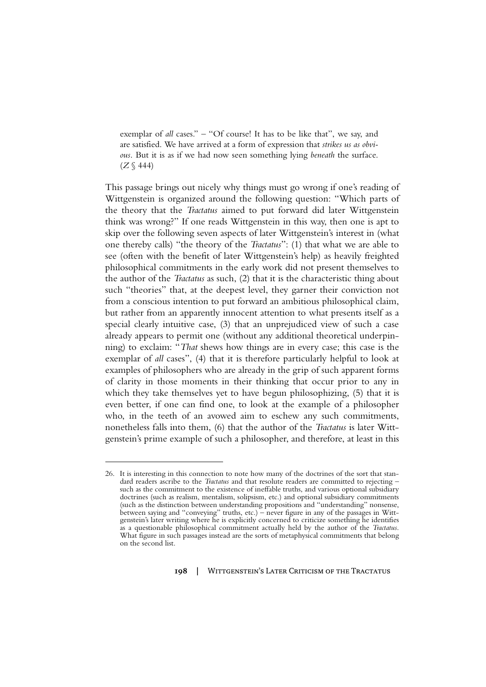exemplar of *all* cases." – "Of course! It has to be like that", we say, and are satisfied. We have arrived at a form of expression that *strikes us as obvious*. But it is as if we had now seen something lying *beneath* the surface.  $(Z \, \leq 444)$ 

This passage brings out nicely why things must go wrong if one's reading of Wittgenstein is organized around the following question: "Which parts of the theory that the *Tractatus* aimed to put forward did later Wittgenstein think was wrong?" If one reads Wittgenstein in this way, then one is apt to skip over the following seven aspects of later Wittgenstein's interest in (what one thereby calls) "the theory of the *Tractatus*": (1) that what we are able to see (often with the benefit of later Wittgenstein's help) as heavily freighted philosophical commitments in the early work did not present themselves to the author of the *Tractatus* as such, (2) that it is the characteristic thing about such "theories" that, at the deepest level, they garner their conviction not from a conscious intention to put forward an ambitious philosophical claim, but rather from an apparently innocent attention to what presents itself as a special clearly intuitive case, (3) that an unprejudiced view of such a case already appears to permit one (without any additional theoretical underpinning) to exclaim: "*That* shews how things are in every case; this case is the exemplar of *all* cases", (4) that it is therefore particularly helpful to look at examples of philosophers who are already in the grip of such apparent forms of clarity in those moments in their thinking that occur prior to any in which they take themselves yet to have begun philosophizing, (5) that it is even better, if one can find one, to look at the example of a philosopher who, in the teeth of an avowed aim to eschew any such commitments, nonetheless falls into them, (6) that the author of the *Tractatus* is later Wittgenstein's prime example of such a philosopher, and therefore, at least in this

<sup>26.</sup> It is interesting in this connection to note how many of the doctrines of the sort that standard readers ascribe to the *Tractatus* and that resolute readers are committed to rejecting – such as the commitment to the existence of ineffable truths, and various optional subsidiary doctrines (such as realism, mentalism, solipsism, etc.) and optional subsidiary commitments (such as the distinction between understanding propositions and "understanding" nonsense, between saying and "conveying" truths, etc.) – never figure in any of the passages in Wittgenstein's later writing where he is explicitly concerned to criticize something he identifies as a questionable philosophical commitment actually held by the author of the *Tractatus*. What figure in such passages instead are the sorts of metaphysical commitments that belong on the second list.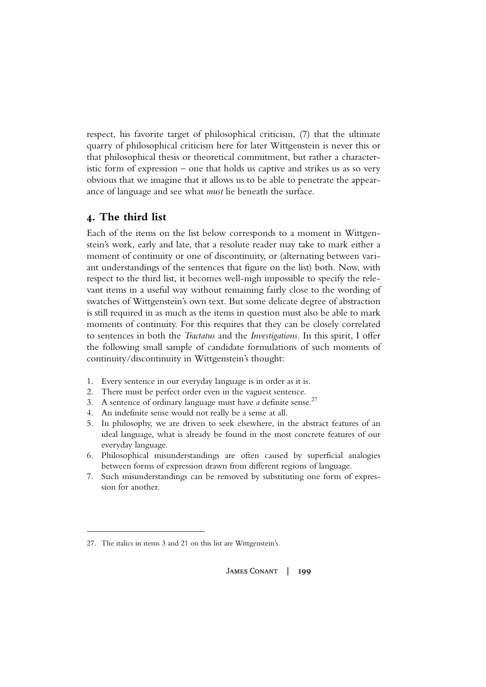respect, his favorite target of philosophical criticism, (7) that the ultimate quarry of philosophical criticism here for later Wittgenstein is never this or that philosophical thesis or theoretical commitment, but rather a characteristic form of expression – one that holds us captive and strikes us as so very obvious that we imagine that it allows us to be able to penetrate the appearance of language and see what *must* lie beneath the surface.

## **4. The third list**

Each of the items on the list below corresponds to a moment in Wittgenstein's work, early and late, that a resolute reader may take to mark either a moment of continuity or one of discontinuity, or (alternating between variant understandings of the sentences that figure on the list) both. Now, with respect to the third list, it becomes well-nigh impossible to specify the relevant items in a useful way without remaining fairly close to the wording of swatches of Wittgenstein's own text. But some delicate degree of abstraction is still required in as much as the items in question must also be able to mark moments of continuity. For this requires that they can be closely correlated to sentences in both the *Tractatus* and the *Investigations*. In this spirit, I offer the following small sample of candidate formulations of such moments of continuity/discontinuity in Wittgenstein's thought:

- 1. Every sentence in our everyday language is in order as it is.
- 2. There must be perfect order even in the vaguest sentence.
- 3. A sentence of ordinary language must have *a* definite sense.<sup>27</sup>
- 4. An indefinite sense would not really be a sense at all.
- 5. In philosophy, we are driven to seek elsewhere, in the abstract features of an ideal language, what is already be found in the most concrete features of our everyday language.
- 6. Philosophical misunderstandings are often caused by superficial analogies between forms of expression drawn from different regions of language.
- 7. Such misunderstandings can be removed by substituting one form of expression for another.

<sup>27.</sup> The italics in items 3 and 21 on this list are Wittgenstein's.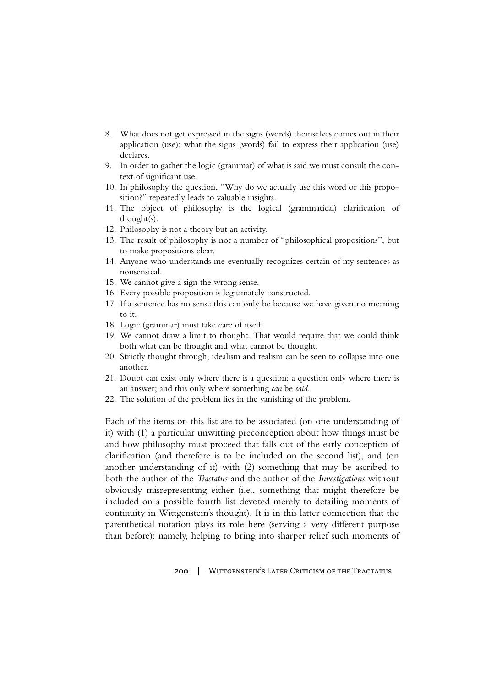- 8. What does not get expressed in the signs (words) themselves comes out in their application (use): what the signs (words) fail to express their application (use) declares.
- 9. In order to gather the logic (grammar) of what is said we must consult the context of significant use.
- 10. In philosophy the question, "Why do we actually use this word or this proposition?" repeatedly leads to valuable insights.
- 11. The object of philosophy is the logical (grammatical) clarification of thought(s).
- 12. Philosophy is not a theory but an activity.
- 13. The result of philosophy is not a number of "philosophical propositions", but to make propositions clear.
- 14. Anyone who understands me eventually recognizes certain of my sentences as nonsensical.
- 15. We cannot give a sign the wrong sense.
- 16. Every possible proposition is legitimately constructed.
- 17. If a sentence has no sense this can only be because we have given no meaning to it.
- 18. Logic (grammar) must take care of itself.
- 19. We cannot draw a limit to thought. That would require that we could think both what can be thought and what cannot be thought.
- 20. Strictly thought through, idealism and realism can be seen to collapse into one another.
- 21. Doubt can exist only where there is a question; a question only where there is an answer; and this only where something *can* be *said*.
- 22. The solution of the problem lies in the vanishing of the problem.

Each of the items on this list are to be associated (on one understanding of it) with (1) a particular unwitting preconception about how things must be and how philosophy must proceed that falls out of the early conception of clarification (and therefore is to be included on the second list), and (on another understanding of it) with (2) something that may be ascribed to both the author of the *Tractatus* and the author of the *Investigations* without obviously misrepresenting either (i.e., something that might therefore be included on a possible fourth list devoted merely to detailing moments of continuity in Wittgenstein's thought). It is in this latter connection that the parenthetical notation plays its role here (serving a very different purpose than before): namely, helping to bring into sharper relief such moments of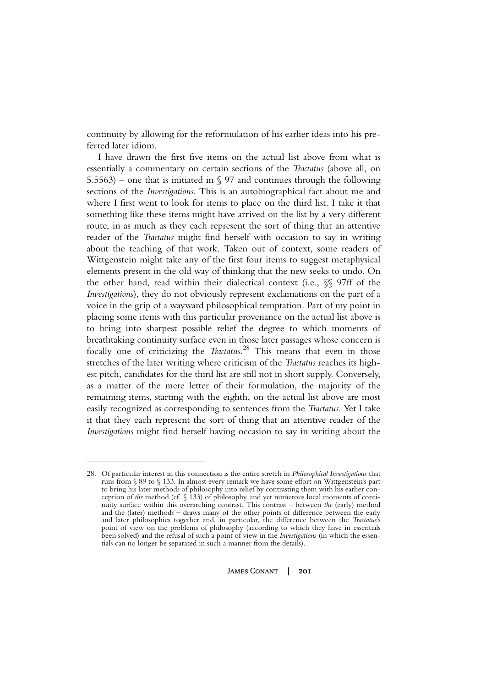continuity by allowing for the reformulation of his earlier ideas into his preferred later idiom.

I have drawn the first five items on the actual list above from what is essentially a commentary on certain sections of the *Tractatus* (above all, on 5.5563) – one that is initiated in  $\sqrt{97}$  and continues through the following sections of the *Investigations.* This is an autobiographical fact about me and where I first went to look for items to place on the third list. I take it that something like these items might have arrived on the list by a very different route, in as much as they each represent the sort of thing that an attentive reader of the *Tractatus* might find herself with occasion to say in writing about the teaching of that work. Taken out of context, some readers of Wittgenstein might take any of the first four items to suggest metaphysical elements present in the old way of thinking that the new seeks to undo. On the other hand, read within their dialectical context (i.e., §§ 97ff of the *Investigations*), they do not obviously represent exclamations on the part of a voice in the grip of a wayward philosophical temptation. Part of my point in placing some items with this particular provenance on the actual list above is to bring into sharpest possible relief the degree to which moments of breathtaking continuity surface even in those later passages whose concern is focally one of criticizing the *Tractatus*. 28 This means that even in those stretches of the later writing where criticism of the *Tractatus* reaches its highest pitch, candidates for the third list are still not in short supply. Conversely, as a matter of the mere letter of their formulation, the majority of the remaining items, starting with the eighth, on the actual list above are most easily recognized as corresponding to sentences from the *Tractatus.* Yet I take it that they each represent the sort of thing that an attentive reader of the *Investigations* might find herself having occasion to say in writing about the

<sup>28.</sup> Of particular interest in this connection is the entire stretch in *Philosophical Investigations* that runs from § 89 to § 133. In almost every remark we have some effort on Wittgenstein's part to bring his later method*s* of philosophy into relief by contrasting them with his earlier conception of *the* method (cf. § 133) of philosophy, and yet numerous local moments of continuity surface within this overarching contrast. This contrast – between *the* (early) method and the (later) methods – draws many of the other points of difference between the early and later philosophies together and, in particular, the difference between the *Tractatus*'s point of view on the problems of philosophy (according to which they have in essentials been solved) and the refusal of such a point of view in the *Investigations* (in which the essentials can no longer be separated in such a manner from the details).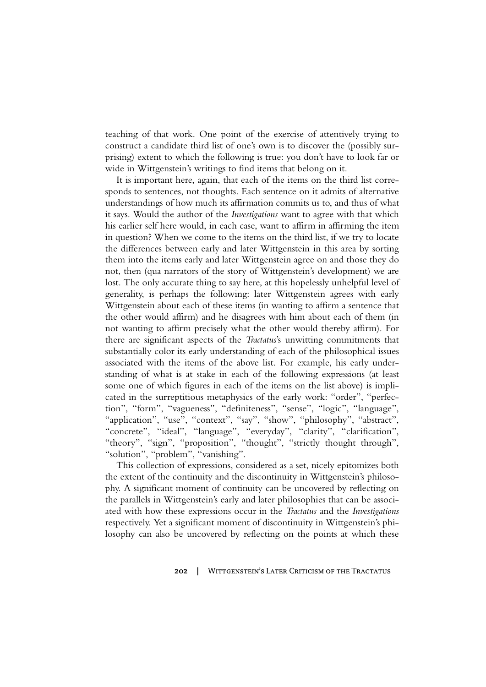teaching of that work. One point of the exercise of attentively trying to construct a candidate third list of one's own is to discover the (possibly surprising) extent to which the following is true: you don't have to look far or wide in Wittgenstein's writings to find items that belong on it.

It is important here, again, that each of the items on the third list corresponds to sentences, not thoughts. Each sentence on it admits of alternative understandings of how much its affirmation commits us to, and thus of what it says. Would the author of the *Investigations* want to agree with that which his earlier self here would, in each case, want to affirm in affirming the item in question? When we come to the items on the third list, if we try to locate the differences between early and later Wittgenstein in this area by sorting them into the items early and later Wittgenstein agree on and those they do not, then (qua narrators of the story of Wittgenstein's development) we are lost. The only accurate thing to say here, at this hopelessly unhelpful level of generality, is perhaps the following: later Wittgenstein agrees with early Wittgenstein about each of these items (in wanting to affirm a sentence that the other would affirm) and he disagrees with him about each of them (in not wanting to affirm precisely what the other would thereby affirm). For there are significant aspects of the *Tractatus*'s unwitting commitments that substantially color its early understanding of each of the philosophical issues associated with the items of the above list. For example, his early understanding of what is at stake in each of the following expressions (at least some one of which figures in each of the items on the list above) is implicated in the surreptitious metaphysics of the early work: "order", "perfection", "form", "vagueness", "definiteness", "sense", "logic", "language", "application", "use", "context", "say", "show", "philosophy", "abstract", "concrete", "ideal", "language", "everyday", "clarity", "clarification", "theory", "sign", "proposition", "thought", "strictly thought through", "solution", "problem", "vanishing".

This collection of expressions, considered as a set, nicely epitomizes both the extent of the continuity and the discontinuity in Wittgenstein's philosophy. A significant moment of continuity can be uncovered by reflecting on the parallels in Wittgenstein's early and later philosophies that can be associated with how these expressions occur in the *Tractatus* and the *Investigations* respectively. Yet a significant moment of discontinuity in Wittgenstein's philosophy can also be uncovered by reflecting on the points at which these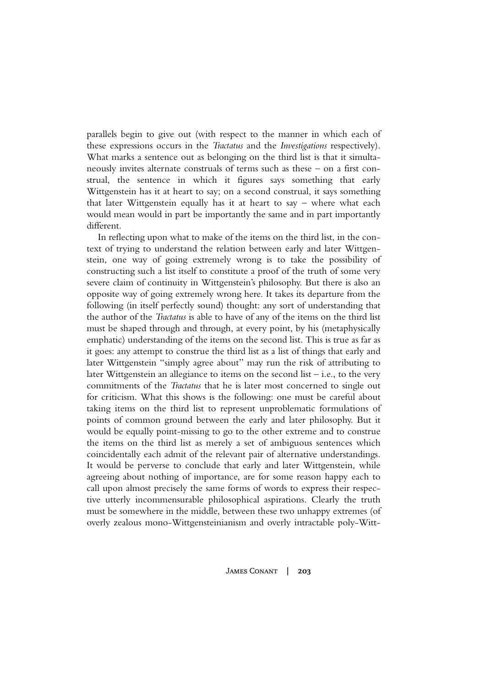parallels begin to give out (with respect to the manner in which each of these expressions occurs in the *Tractatus* and the *Investigations* respectively). What marks a sentence out as belonging on the third list is that it simultaneously invites alternate construals of terms such as these – on a first construal, the sentence in which it figures says something that early Wittgenstein has it at heart to say; on a second construal, it says something that later Wittgenstein equally has it at heart to say – where what each would mean would in part be importantly the same and in part importantly different.

In reflecting upon what to make of the items on the third list, in the context of trying to understand the relation between early and later Wittgenstein, one way of going extremely wrong is to take the possibility of constructing such a list itself to constitute a proof of the truth of some very severe claim of continuity in Wittgenstein's philosophy. But there is also an opposite way of going extremely wrong here. It takes its departure from the following (in itself perfectly sound) thought: any sort of understanding that the author of the *Tractatus* is able to have of any of the items on the third list must be shaped through and through, at every point, by his (metaphysically emphatic) understanding of the items on the second list. This is true as far as it goes: any attempt to construe the third list as a list of things that early and later Wittgenstein "simply agree about" may run the risk of attributing to later Wittgenstein an allegiance to items on the second list  $-$  i.e., to the very commitments of the *Tractatus* that he is later most concerned to single out for criticism. What this shows is the following: one must be careful about taking items on the third list to represent unproblematic formulations of points of common ground between the early and later philosophy. But it would be equally point-missing to go to the other extreme and to construe the items on the third list as merely a set of ambiguous sentences which coincidentally each admit of the relevant pair of alternative understandings. It would be perverse to conclude that early and later Wittgenstein, while agreeing about nothing of importance, are for some reason happy each to call upon almost precisely the same forms of words to express their respective utterly incommensurable philosophical aspirations. Clearly the truth must be somewhere in the middle, between these two unhappy extremes (of overly zealous mono-Wittgensteinianism and overly intractable poly-Witt-

James Conant **| 203**